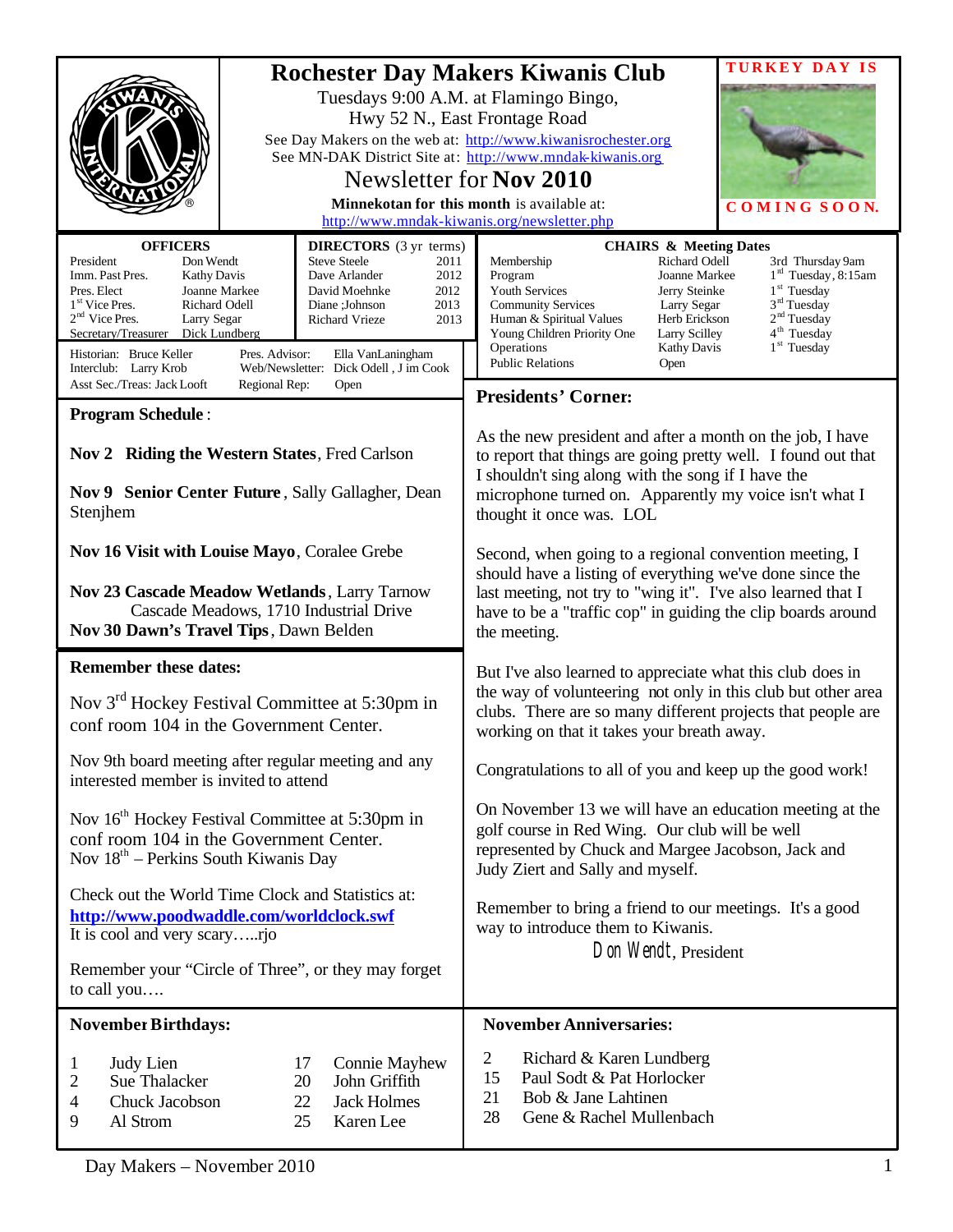|                                                                                                                                                                                                                                                                                                                                                                                                                            | TURKEY DAY<br><b>Rochester Day Makers Kiwanis Club</b>                                                                                                                                                                                                                                                                                                                                                                                                                       |  |
|----------------------------------------------------------------------------------------------------------------------------------------------------------------------------------------------------------------------------------------------------------------------------------------------------------------------------------------------------------------------------------------------------------------------------|------------------------------------------------------------------------------------------------------------------------------------------------------------------------------------------------------------------------------------------------------------------------------------------------------------------------------------------------------------------------------------------------------------------------------------------------------------------------------|--|
|                                                                                                                                                                                                                                                                                                                                                                                                                            | Tuesdays 9:00 A.M. at Flamingo Bingo,                                                                                                                                                                                                                                                                                                                                                                                                                                        |  |
| Hwy 52 N., East Frontage Road                                                                                                                                                                                                                                                                                                                                                                                              |                                                                                                                                                                                                                                                                                                                                                                                                                                                                              |  |
|                                                                                                                                                                                                                                                                                                                                                                                                                            | See Day Makers on the web at: http://www.kiwanisrochester.org<br>See MN-DAK District Site at: http://www.mndak-kiwanis.org                                                                                                                                                                                                                                                                                                                                                   |  |
|                                                                                                                                                                                                                                                                                                                                                                                                                            | Newsletter for Nov 2010                                                                                                                                                                                                                                                                                                                                                                                                                                                      |  |
| Minnekotan for this month is available at:<br>COMING SOON.                                                                                                                                                                                                                                                                                                                                                                 |                                                                                                                                                                                                                                                                                                                                                                                                                                                                              |  |
| http://www.mndak-kiwanis.org/newsletter.php                                                                                                                                                                                                                                                                                                                                                                                |                                                                                                                                                                                                                                                                                                                                                                                                                                                                              |  |
| <b>OFFICERS</b><br><b>DIRECTORS</b> (3 yr terms)<br>President<br>Don Wendt<br><b>Steve Steele</b><br>2011<br>2012<br>Imm. Past Pres.<br><b>Kathy Davis</b><br>Dave Arlander<br>Pres. Elect<br>Joanne Markee<br>David Moehnke<br>2012<br>1 <sup>st</sup> Vice Pres.<br>Richard Odell<br>2013<br>Diane : Johnson<br>$2nd$ Vice Pres.<br>Larry Segar<br><b>Richard Vrieze</b><br>2013<br>Secretary/Treasurer<br>Dick Lundberg | <b>CHAIRS &amp; Meeting Dates</b><br>Membership<br>Richard Odell<br>3rd Thursday 9am<br>$1rd$ Tuesday, 8:15am<br>Program<br>Joanne Markee<br>$1st$ Tuesday<br>Youth Services<br>Jerry Steinke<br>3 <sup>rd</sup> Tuesday<br><b>Community Services</b><br>Larry Segar<br>2 <sup>nd</sup> Tuesday<br>Herb Erickson<br>Human & Spiritual Values<br>4 <sup>th</sup> Tuesday<br>Young Children Priority One<br>Larry Scilley<br>$1st$ Tuesday<br>Operations<br><b>Kathy Davis</b> |  |
| Historian: Bruce Keller<br>Pres. Advisor:<br>Ella VanLaningham<br>Web/Newsletter: Dick Odell, J im Cook<br>Interclub: Larry Krob<br>Asst Sec./Treas: Jack Looft<br>Regional Rep:<br>Open                                                                                                                                                                                                                                   | <b>Public Relations</b><br>Open                                                                                                                                                                                                                                                                                                                                                                                                                                              |  |
| <b>Program Schedule:</b>                                                                                                                                                                                                                                                                                                                                                                                                   | <b>Presidents' Corner:</b>                                                                                                                                                                                                                                                                                                                                                                                                                                                   |  |
| Nov 2 Riding the Western States, Fred Carlson<br>Nov 9 Senior Center Future, Sally Gallagher, Dean<br>Stenjhem                                                                                                                                                                                                                                                                                                             | As the new president and after a month on the job, I have<br>to report that things are going pretty well. I found out that<br>I shouldn't sing along with the song if I have the<br>microphone turned on. Apparently my voice isn't what I<br>thought it once was. LOL                                                                                                                                                                                                       |  |
| Nov 16 Visit with Louise Mayo, Coralee Grebe                                                                                                                                                                                                                                                                                                                                                                               | Second, when going to a regional convention meeting, I                                                                                                                                                                                                                                                                                                                                                                                                                       |  |
| Nov 23 Cascade Meadow Wetlands, Larry Tarnow<br>Cascade Meadows, 1710 Industrial Drive<br>Nov 30 Dawn's Travel Tips, Dawn Belden                                                                                                                                                                                                                                                                                           | should have a listing of everything we've done since the<br>last meeting, not try to "wing it". I've also learned that I<br>have to be a "traffic cop" in guiding the clip boards around<br>the meeting.                                                                                                                                                                                                                                                                     |  |
| <b>Remember these dates:</b>                                                                                                                                                                                                                                                                                                                                                                                               | But I've also learned to appreciate what this club does in                                                                                                                                                                                                                                                                                                                                                                                                                   |  |
| Nov 3 <sup>rd</sup> Hockey Festival Committee at 5:30pm in<br>conf room 104 in the Government Center.                                                                                                                                                                                                                                                                                                                      | the way of volunteering not only in this club but other area<br>clubs. There are so many different projects that people are<br>working on that it takes your breath away.                                                                                                                                                                                                                                                                                                    |  |
| Nov 9th board meeting after regular meeting and any<br>interested member is invited to attend                                                                                                                                                                                                                                                                                                                              | Congratulations to all of you and keep up the good work!                                                                                                                                                                                                                                                                                                                                                                                                                     |  |
| Nov 16 <sup>th</sup> Hockey Festival Committee at 5:30pm in<br>conf room 104 in the Government Center.<br>Nov 18 <sup>th</sup> – Perkins South Kiwanis Day                                                                                                                                                                                                                                                                 | On November 13 we will have an education meeting at the<br>golf course in Red Wing. Our club will be well<br>represented by Chuck and Margee Jacobson, Jack and<br>Judy Ziert and Sally and myself.                                                                                                                                                                                                                                                                          |  |
| Check out the World Time Clock and Statistics at:<br>http://www.poodwaddle.com/worldclock.swf<br>It is cool and very scaryrjo                                                                                                                                                                                                                                                                                              | Remember to bring a friend to our meetings. It's a good<br>way to introduce them to Kiwanis.<br>Don Wendt, President                                                                                                                                                                                                                                                                                                                                                         |  |
| Remember your "Circle of Three", or they may forget<br>to call you                                                                                                                                                                                                                                                                                                                                                         |                                                                                                                                                                                                                                                                                                                                                                                                                                                                              |  |
| <b>November Birthdays:</b>                                                                                                                                                                                                                                                                                                                                                                                                 | <b>November Anniversaries:</b>                                                                                                                                                                                                                                                                                                                                                                                                                                               |  |
| Judy Lien<br><b>Connie Mayhew</b><br>17<br>1<br>John Griffith<br>Sue Thalacker<br>20<br>2<br>Chuck Jacobson<br>22<br><b>Jack Holmes</b><br>4<br>Al Strom<br>25<br>Karen Lee<br>9                                                                                                                                                                                                                                           | $\overline{2}$<br>Richard & Karen Lundberg<br>Paul Sodt & Pat Horlocker<br>15<br>21<br>Bob & Jane Lahtinen<br>Gene & Rachel Mullenbach<br>28                                                                                                                                                                                                                                                                                                                                 |  |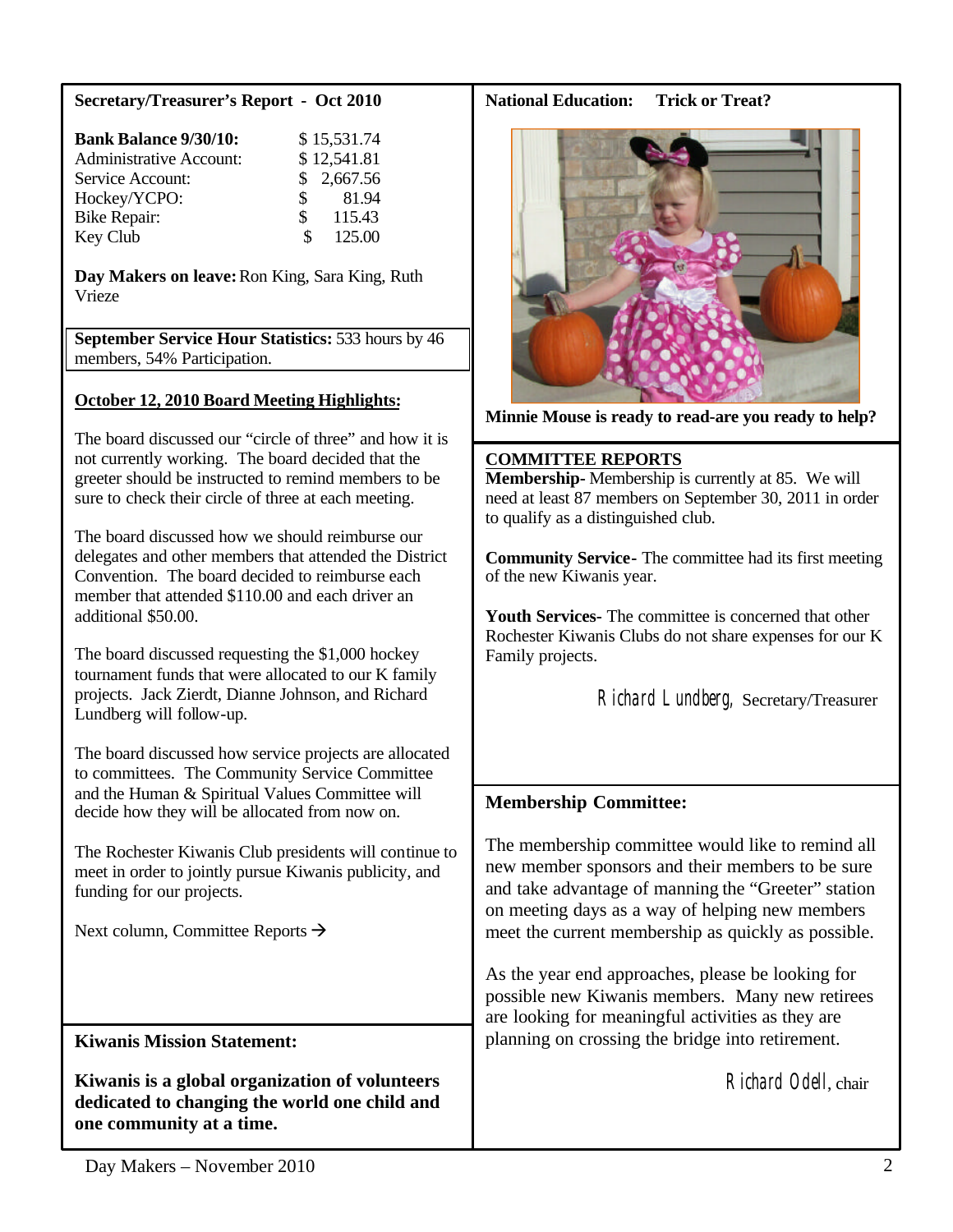### **Secretary/Treasurer's Report - Oct 2010**

| <b>Bank Balance 9/30/10:</b>   | \$15,531.74              |
|--------------------------------|--------------------------|
| <b>Administrative Account:</b> | \$12,541.81              |
| Service Account:               | \$2,667.56               |
| Hockey/YCPO:                   | 81.94<br>$\mathbf{s}$    |
| <b>Bike Repair:</b>            | 115.43<br>$\mathbb{S}^-$ |
| Key Club                       | 125.00<br>S              |

**Day Makers on leave:**Ron King, Sara King, Ruth Vrieze

**September Service Hour Statistics:** 533 hours by 46 members, 54% Participation.

# **October 12, 2010 Board Meeting Highlights:**

The board discussed our "circle of three" and how it is not currently working. The board decided that the greeter should be instructed to remind members to be sure to check their circle of three at each meeting.

The board discussed how we should reimburse our delegates and other members that attended the District Convention. The board decided to reimburse each member that attended \$110.00 and each driver an additional \$50.00.

The board discussed requesting the \$1,000 hockey tournament funds that were allocated to our K family projects. Jack Zierdt, Dianne Johnson, and Richard Lundberg will follow-up.

The board discussed how service projects are allocated to committees. The Community Service Committee and the Human & Spiritual Values Committee will decide how they will be allocated from now on.

The Rochester Kiwanis Club presidents will continue to meet in order to jointly pursue Kiwanis publicity, and funding for our projects.

Next column, Committee Reports  $\rightarrow$ 

# **Kiwanis Mission Statement:**

**Kiwanis is a global organization of volunteers dedicated to changing the world one child and one community at a time.**

#### **National Education: Trick or Treat?**



**Minnie Mouse is ready to read-are you ready to help?**

#### **COMMITTEE REPORTS**

**Membership-** Membership is currently at 85. We will need at least 87 members on September 30, 2011 in order to qualify as a distinguished club.

**Community Service-** The committee had its first meeting of the new Kiwanis year.

**Youth Services-** The committee is concerned that other Rochester Kiwanis Clubs do not share expenses for our K Family projects.

Richard Lundberg, Secretary/Treasurer

# **Membership Committee:**

The membership committee would like to remind all new member sponsors and their members to be sure and take advantage of manning the "Greeter" station on meeting days as a way of helping new members meet the current membership as quickly as possible.

As the year end approaches, please be looking for possible new Kiwanis members. Many new retirees are looking for meaningful activities as they are planning on crossing the bridge into retirement.

Richard Odell, chair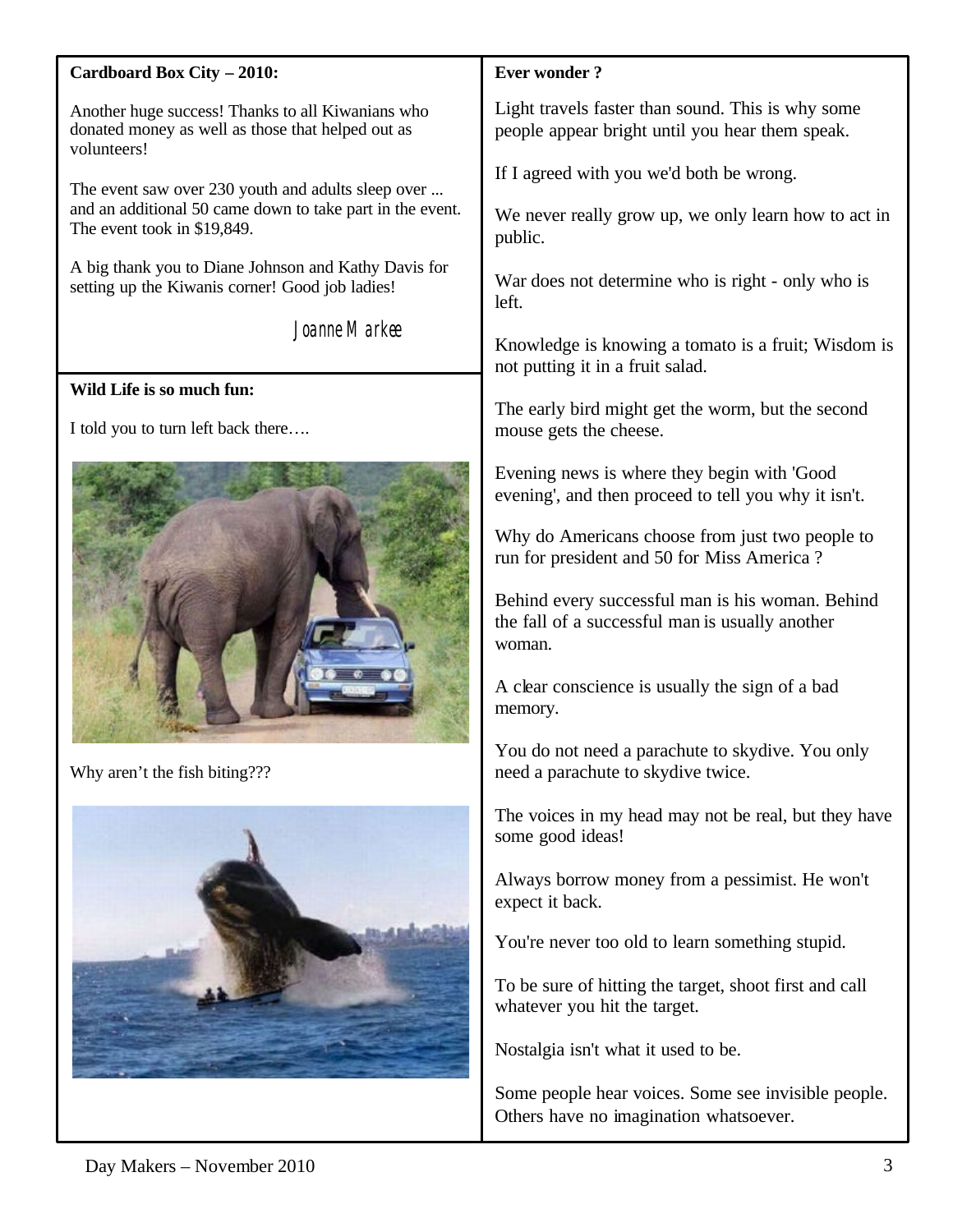### **Cardboard Box City – 2010:**

Another huge success! Thanks to all Kiwanians who donated money as well as those that helped out as volunteers!

The event saw over 230 youth and adults sleep over ... and an additional 50 came down to take part in the event. The event took in \$19,849.

A big thank you to Diane Johnson and Kathy Davis for setting up the Kiwanis corner! Good job ladies!

Joanne Markee

### **Wild Life is so much fun:**

I told you to turn left back there….



Why aren't the fish biting???



# **Ever wonder ?**

Light travels faster than sound. This is why some people appear bright until you hear them speak.

If I agreed with you we'd both be wrong.

We never really grow up, we only learn how to act in public.

War does not determine who is right - only who is left.

Knowledge is knowing a tomato is a fruit; Wisdom is not putting it in a fruit salad.

The early bird might get the worm, but the second mouse gets the cheese.

Evening news is where they begin with 'Good evening', and then proceed to tell you why it isn't.

Why do Americans choose from just two people to run for president and 50 for Miss America ?

Behind every successful man is his woman. Behind the fall of a successful man is usually another woman.

A clear conscience is usually the sign of a bad memory.

You do not need a parachute to skydive. You only need a parachute to skydive twice.

The voices in my head may not be real, but they have some good ideas!

Always borrow money from a pessimist. He won't expect it back.

You're never too old to learn something stupid.

To be sure of hitting the target, shoot first and call whatever you hit the target.

Nostalgia isn't what it used to be.

Some people hear voices. Some see invisible people. Others have no imagination whatsoever.